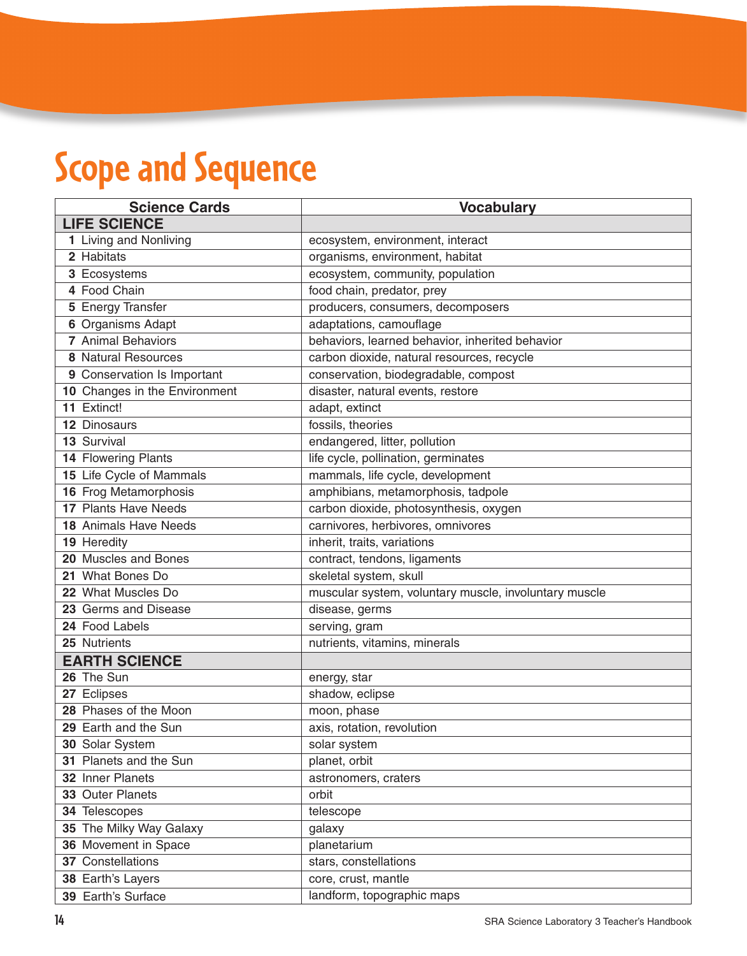## **Scope and Sequence**

| <b>Science Cards</b>          | <b>Vocabulary</b>                                     |
|-------------------------------|-------------------------------------------------------|
| <b>LIFE SCIENCE</b>           |                                                       |
| 1 Living and Nonliving        | ecosystem, environment, interact                      |
| 2 Habitats                    | organisms, environment, habitat                       |
| 3 Ecosystems                  | ecosystem, community, population                      |
| 4 Food Chain                  | food chain, predator, prey                            |
| 5 Energy Transfer             | producers, consumers, decomposers                     |
| 6 Organisms Adapt             | adaptations, camouflage                               |
| 7 Animal Behaviors            | behaviors, learned behavior, inherited behavior       |
| 8 Natural Resources           | carbon dioxide, natural resources, recycle            |
| 9 Conservation Is Important   | conservation, biodegradable, compost                  |
| 10 Changes in the Environment | disaster, natural events, restore                     |
| 11 Extinct!                   | adapt, extinct                                        |
| <b>12 Dinosaurs</b>           | fossils, theories                                     |
| 13 Survival                   | endangered, litter, pollution                         |
| 14 Flowering Plants           | life cycle, pollination, germinates                   |
| 15 Life Cycle of Mammals      | mammals, life cycle, development                      |
| 16 Frog Metamorphosis         | amphibians, metamorphosis, tadpole                    |
| 17 Plants Have Needs          | carbon dioxide, photosynthesis, oxygen                |
| 18 Animals Have Needs         | carnivores, herbivores, omnivores                     |
| 19 Heredity                   | inherit, traits, variations                           |
| 20 Muscles and Bones          | contract, tendons, ligaments                          |
| 21 What Bones Do              | skeletal system, skull                                |
| 22 What Muscles Do            | muscular system, voluntary muscle, involuntary muscle |
| 23 Germs and Disease          | disease, germs                                        |
| 24 Food Labels                | serving, gram                                         |
| 25 Nutrients                  | nutrients, vitamins, minerals                         |
| <b>EARTH SCIENCE</b>          |                                                       |
| 26 The Sun                    | energy, star                                          |
| 27 Eclipses                   | shadow, eclipse                                       |
| 28 Phases of the Moon         | moon, phase                                           |
| 29 Earth and the Sun          | axis, rotation, revolution                            |
| 30 Solar System               | solar system                                          |
| 31 Planets and the Sun        | planet, orbit                                         |
| 32 Inner Planets              | astronomers, craters                                  |
| 33 Outer Planets              | orbit                                                 |
| 34 Telescopes                 | telescope                                             |
| 35 The Milky Way Galaxy       | galaxy                                                |
| 36 Movement in Space          | planetarium                                           |
| 37 Constellations             | stars, constellations                                 |
| 38 Earth's Layers             | core, crust, mantle                                   |
| 39 Earth's Surface            | landform, topographic maps                            |